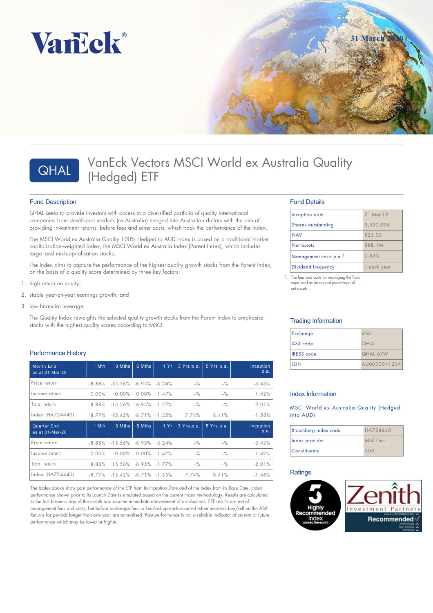





# VanEck Vectors MSCI World ex Australia Quality QHAL VanEck Vecto

### Fund Description

QHAL seeks to provide investors with access to a diversified portfolio of quality international companies from developed markets (ex-Australia) hedged into Australian dollars with the aim of providing investment returns, before fees and other costs, which track the performance of the Index.

The MSCI World ex Australia Quality 100% Hedged to AUD Index is based on a traditional market capitalisation-weighted index, the MSCI World ex Australia Index (Parent Index), which includes large- and mid-capitalisation stocks.

The Index aims to capture the performance of the highest quality growth stocks from the Parent Index, on the basis of a quality score determined by three key factors:

- 1. high return on equity;
- 2. stable year-on-year earnings growth; and
- 3. low financial leverage.

The Quality Index reweights the selected quality growth stocks from the Parent Index to emphasise stocks with the highest quality scores according to MSCI.

### Performance History

| <b>Month End</b><br>as at 31-Mar-20   | 1 Mth     | 3 Mths                         | 6 Mths   | 1 Yr  | 3 Yrs p.a. | 5 Yrs p.a. | Inception<br>p.a. |
|---------------------------------------|-----------|--------------------------------|----------|-------|------------|------------|-------------------|
| Price return                          | $-8.88\%$ | $-15.56\% -6.95\% -3.24\%$     |          |       | $-$ %      | $-$ %      | $-3.43%$          |
| Income return                         | $0.00\%$  | 0.00%                          | $0.00\%$ | 1.47% | $-\%$      | $-$ %      | 1.42%             |
| Total return                          | $-8.88\%$ | $-15.56\% -6.95\% -1.77\%$     |          |       | $-$ %      | $-$ %      | $-2.01%$          |
| Index (HA724440)                      | -8.77%    | $-15.42\%$ $-6.71\%$ $-1.35\%$ |          |       | 7.74%      | 8.41%      | $-1.58%$          |
| <b>Quarter End</b><br>as at 31-Mar-20 | 1 Mth     | 3 Mths                         | 6 Mths   | 1Yr   | 3 Yrs p.a. | 5 Yrs p.a. | Inception<br>p.a. |
| Price return                          | $-8.88\%$ | $-15.56\%$ $-6.95\%$ $-3.24\%$ |          |       | $-$ %      | $-%$       | $-3.43%$          |
| Income return                         | $0.00\%$  | 0.00%                          | $0.00\%$ | 1.47% | $-\%$      | $-$ %      | 1.42%             |
| l Total return                        | $-8.88\%$ | $-15.56\%$ $-6.95\%$ $-1.77\%$ |          |       | $-$ %      | $-$ %      | $-2.01%$          |
| Index (HA724440)                      | $-8.77\%$ | $-15.42\%$ $-6.71\%$ $-1.35\%$ |          |       | 7.74%      | 8.41%      | $-1.58%$          |

The tables above show past performance of the ETF from its Inception Date and of the Index from its Base Date. Index performance shown prior to its Launch Date is simulated based on the current Index methodology. Results are calculated to the last business day of the month and assume immediate reinvestment of distributions. ETF results are net of management fees and costs, but before brokerage fees or bid/ask spreads incurred when investors buy/sell on the ASX. Returns for periods longer than one year are annualised. Past performance is not a reliable indicator of current or future performance which may be lower or higher.

### Fund Details

| Inception date        | $21$ -Mar-19 |
|-----------------------|--------------|
| Shares outstanding    | 3,520,034    |
| <b>NAV</b>            | \$25.03      |
| Net assets            | \$88.1M      |
| Management costs p.a. | 0.43%        |
| Dividend frequency    | vear<br>each |

1. The fees and costs for managing the Fund expressed as an annual percentage of net assets.

### Trading Information

| Exchange          | ASX                           |
|-------------------|-------------------------------|
| ASX code          | <b>QHAL</b>                   |
| <b>IRESS</b> code | <b><i><u>OHAL AXW</u></i></b> |
| <b>ISIN</b>       | AU0000041204                  |

### Index Information

MSCI World ex Australia Quality (Hedged into AUD)

| Bloomberg index code | HA724440  |
|----------------------|-----------|
| Index provider       | MSCI Inc. |
| <b>Constituents</b>  | 300       |

### **Ratings**